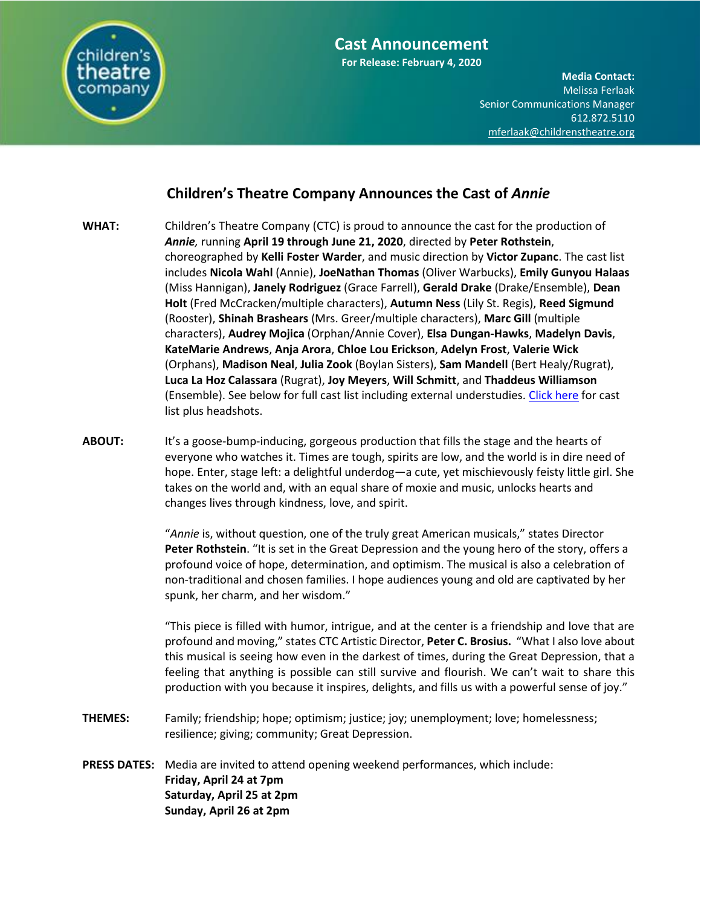

**For Release: February 4, 2020**

**Media Contact:**  Melissa Ferlaak Senior Communications Manager 612.872.5110 [mferlaak@childrenstheatre.org](mailto:mferlaak@childrenstheatre.org)

# **Children's Theatre Company Announces the Cast of** *Annie*

- **WHAT:** Children's Theatre Company (CTC) is proud to announce the cast for the production of *Annie,* running **April 19 through June 21, 2020**, directed by **Peter Rothstein**, choreographed by **Kelli Foster Warder**, and music direction by **Victor Zupanc**. The cast list includes **Nicola Wahl** (Annie), **JoeNathan Thomas** (Oliver Warbucks), **Emily Gunyou Halaas** (Miss Hannigan), **Janely Rodriguez** (Grace Farrell), **Gerald Drake** (Drake/Ensemble), **Dean Holt** (Fred McCracken/multiple characters), **Autumn Ness** (Lily St. Regis), **Reed Sigmund** (Rooster), **Shinah Brashears** (Mrs. Greer/multiple characters), **Marc Gill** (multiple characters), **Audrey Mojica** (Orphan/Annie Cover), **Elsa Dungan-Hawks**, **Madelyn Davis**, **KateMarie Andrews**, **Anja Arora**, **Chloe Lou Erickson**, **Adelyn Frost**, **Valerie Wick** (Orphans), **Madison Neal**, **Julia Zook** (Boylan Sisters), **Sam Mandell** (Bert Healy/Rugrat), **Luca La Hoz Calassara** (Rugrat), **Joy Meyers**, **Will Schmitt**, and **Thaddeus Williamson** (Ensemble). See below for full cast list including external understudies. [Click here](https://offbook.childrenstheatre.org/meet-the-cast-of-annie-4e717a4f623) for cast list plus headshots.
- ABOUT: It's a goose-bump-inducing, gorgeous production that fills the stage and the hearts of everyone who watches it. Times are tough, spirits are low, and the world is in dire need of hope. Enter, stage left: a delightful underdog—a cute, yet mischievously feisty little girl. She takes on the world and, with an equal share of moxie and music, unlocks hearts and changes lives through kindness, love, and spirit.

"*Annie* is, without question, one of the truly great American musicals," states Director **Peter Rothstein**. "It is set in the Great Depression and the young hero of the story, offers a profound voice of hope, determination, and optimism. The musical is also a celebration of non-traditional and chosen families. I hope audiences young and old are captivated by her spunk, her charm, and her wisdom."

"This piece is filled with humor, intrigue, and at the center is a friendship and love that are profound and moving," states CTC Artistic Director, **Peter C. Brosius.** "What I also love about this musical is seeing how even in the darkest of times, during the Great Depression, that a feeling that anything is possible can still survive and flourish. We can't wait to share this production with you because it inspires, delights, and fills us with a powerful sense of joy."

- **THEMES:** Family; friendship; hope; optimism; justice; joy; unemployment; love; homelessness; resilience; giving; community; Great Depression.
- **PRESS DATES:** Media are invited to attend opening weekend performances, which include: **Friday, April 24 at 7pm Saturday, April 25 at 2pm Sunday, April 26 at 2pm**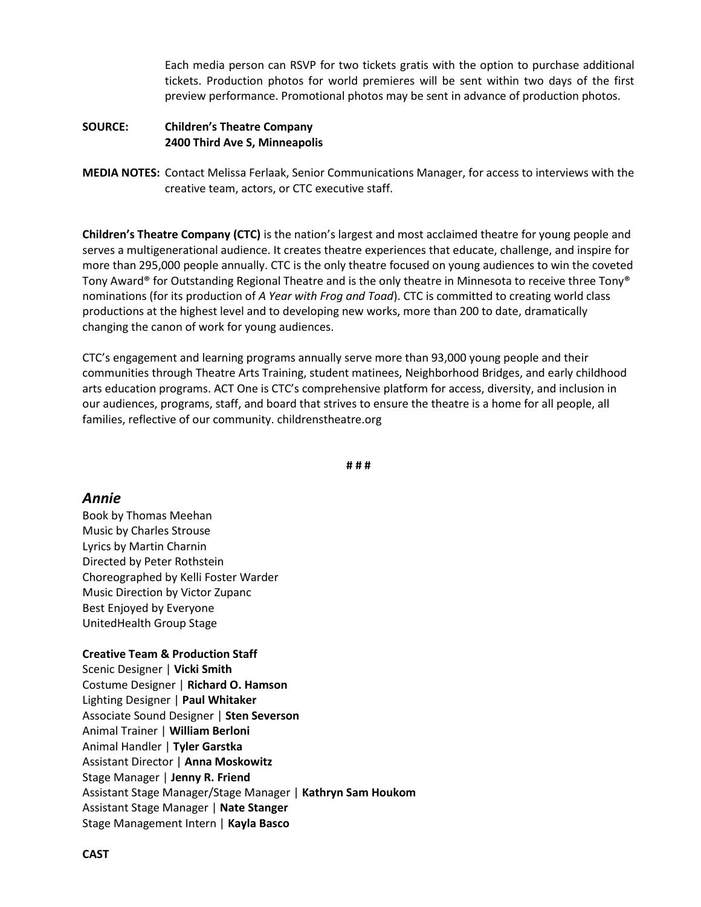Each media person can RSVP for two tickets gratis with the option to purchase additional tickets. Production photos for world premieres will be sent within two days of the first preview performance. Promotional photos may be sent in advance of production photos.

#### **SOURCE: Children's Theatre Company 2400 Third Ave S, Minneapolis**

**MEDIA NOTES:** Contact Melissa Ferlaak, Senior Communications Manager, for access to interviews with the creative team, actors, or CTC executive staff.

**Children's Theatre Company (CTC)** is the nation's largest and most acclaimed theatre for young people and serves a multigenerational audience. It creates theatre experiences that educate, challenge, and inspire for more than 295,000 people annually. CTC is the only theatre focused on young audiences to win the coveted Tony Award® for Outstanding Regional Theatre and is the only theatre in Minnesota to receive three Tony® nominations (for its production of *A Year with Frog and Toad*). CTC is committed to creating world class productions at the highest level and to developing new works, more than 200 to date, dramatically changing the canon of work for young audiences.

CTC's engagement and learning programs annually serve more than 93,000 young people and their communities through Theatre Arts Training, student matinees, Neighborhood Bridges, and early childhood arts education programs. ACT One is CTC's comprehensive platform for access, diversity, and inclusion in our audiences, programs, staff, and board that strives to ensure the theatre is a home for all people, all families, reflective of our community. childrenstheatre.org

**# # #**

# *Annie*

Book by Thomas Meehan Music by Charles Strouse Lyrics by Martin Charnin Directed by Peter Rothstein Choreographed by Kelli Foster Warder Music Direction by Victor Zupanc Best Enjoyed by Everyone UnitedHealth Group Stage

# **Creative Team & Production Staff**

Scenic Designer | **Vicki Smith** Costume Designer | **Richard O. Hamson** Lighting Designer | **Paul Whitaker** Associate Sound Designer | **Sten Severson** Animal Trainer | **William Berloni** Animal Handler | **Tyler Garstka** Assistant Director | **Anna Moskowitz** Stage Manager | **Jenny R. Friend** Assistant Stage Manager/Stage Manager | **Kathryn Sam Houkom** Assistant Stage Manager | **Nate Stanger** Stage Management Intern | **Kayla Basco**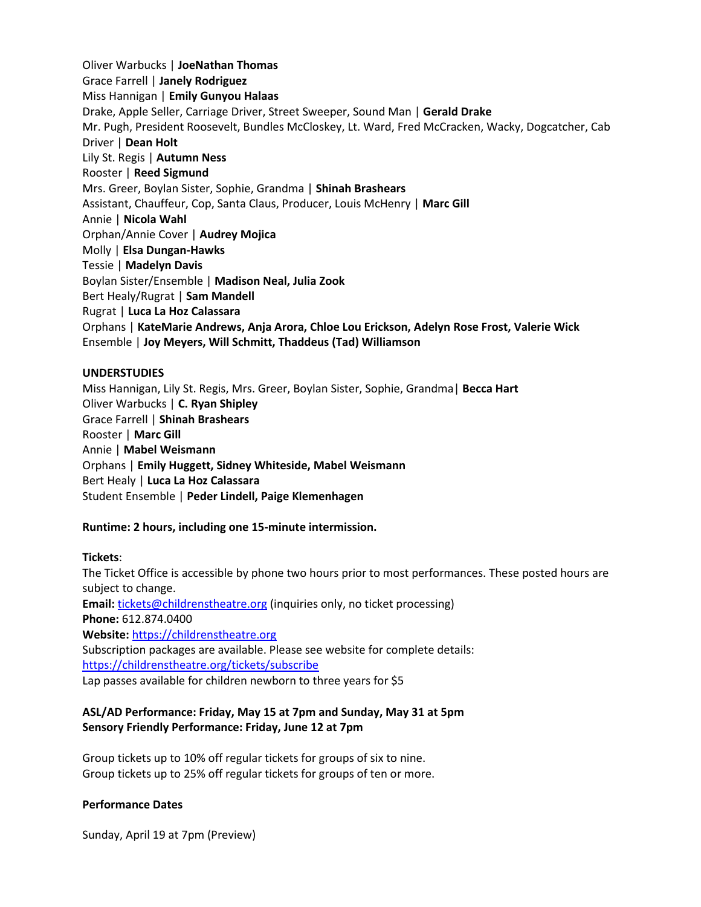Mr. Pugh, President Roosevelt, Bundles McCloskey, Lt. Ward, Fred McCracken, Wacky, Dogcatcher, Cab Oliver Warbucks | **JoeNathan Thomas** Grace Farrell | **Janely Rodriguez** Miss Hannigan | **Emily Gunyou Halaas** Drake, Apple Seller, Carriage Driver, Street Sweeper, Sound Man | **Gerald Drake** Driver | **Dean Holt** Lily St. Regis | **Autumn Ness** Rooster | **Reed Sigmund** Mrs. Greer, Boylan Sister, Sophie, Grandma | **Shinah Brashears** Assistant, Chauffeur, Cop, Santa Claus, Producer, Louis McHenry | **Marc Gill** Annie | **Nicola Wahl**  Orphan/Annie Cover | **Audrey Mojica** Molly | **Elsa Dungan-Hawks**  Tessie | **Madelyn Davis**  Boylan Sister/Ensemble | **Madison Neal, Julia Zook** Bert Healy/Rugrat | **Sam Mandell**  Rugrat | **Luca La Hoz Calassara**  Orphans | **KateMarie Andrews, Anja Arora, Chloe Lou Erickson, Adelyn Rose Frost, Valerie Wick**  Ensemble | **Joy Meyers, Will Schmitt, Thaddeus (Tad) Williamson**

#### **UNDERSTUDIES**

Miss Hannigan, Lily St. Regis, Mrs. Greer, Boylan Sister, Sophie, Grandma| **Becca Hart** Oliver Warbucks | **C. Ryan Shipley** Grace Farrell | **Shinah Brashears** Rooster | **Marc Gill**  Annie | **Mabel Weismann**  Orphans | **Emily Huggett, Sidney Whiteside, Mabel Weismann** Bert Healy | **Luca La Hoz Calassara**  Student Ensemble | **Peder Lindell, Paige Klemenhagen**

# **Runtime: 2 hours, including one 15-minute intermission.**

# **Tickets**:

The Ticket Office is accessible by phone two hours prior to most performances. These posted hours are subject to change. Email: [tickets@childrenstheatre.org](mailto:tickets@childrenstheatre.org) (inquiries only, no ticket processing) **Phone:** 612.874.0400 **Website:** [https://childrenstheatre.org](https://childrenstheatre.org/) Subscription packages are available. Please see website for complete details: <https://childrenstheatre.org/tickets/subscribe> Lap passes available for children newborn to three years for \$5

# **ASL/AD Performance: Friday, May 15 at 7pm and Sunday, May 31 at 5pm Sensory Friendly Performance: Friday, June 12 at 7pm**

Group tickets up to 10% off regular tickets for groups of six to nine. Group tickets up to 25% off regular tickets for groups of ten or more.

# **Performance Dates**

Sunday, April 19 at 7pm (Preview)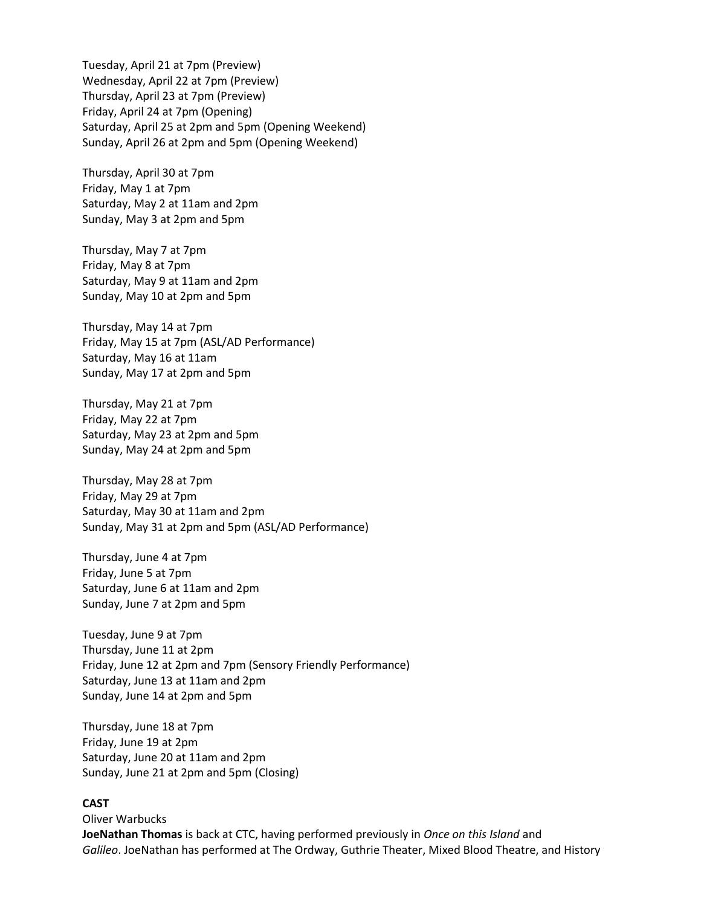Tuesday, April 21 at 7pm (Preview) Wednesday, April 22 at 7pm (Preview) Thursday, April 23 at 7pm (Preview) Friday, April 24 at 7pm (Opening) Saturday, April 25 at 2pm and 5pm (Opening Weekend) Sunday, April 26 at 2pm and 5pm (Opening Weekend)

Thursday, April 30 at 7pm Friday, May 1 at 7pm Saturday, May 2 at 11am and 2pm Sunday, May 3 at 2pm and 5pm

Thursday, May 7 at 7pm Friday, May 8 at 7pm Saturday, May 9 at 11am and 2pm Sunday, May 10 at 2pm and 5pm

Thursday, May 14 at 7pm Friday, May 15 at 7pm (ASL/AD Performance) Saturday, May 16 at 11am Sunday, May 17 at 2pm and 5pm

Thursday, May 21 at 7pm Friday, May 22 at 7pm Saturday, May 23 at 2pm and 5pm Sunday, May 24 at 2pm and 5pm

Thursday, May 28 at 7pm Friday, May 29 at 7pm Saturday, May 30 at 11am and 2pm Sunday, May 31 at 2pm and 5pm (ASL/AD Performance)

Thursday, June 4 at 7pm Friday, June 5 at 7pm Saturday, June 6 at 11am and 2pm Sunday, June 7 at 2pm and 5pm

Tuesday, June 9 at 7pm Thursday, June 11 at 2pm Friday, June 12 at 2pm and 7pm (Sensory Friendly Performance) Saturday, June 13 at 11am and 2pm Sunday, June 14 at 2pm and 5pm

Thursday, June 18 at 7pm Friday, June 19 at 2pm Saturday, June 20 at 11am and 2pm Sunday, June 21 at 2pm and 5pm (Closing)

# **CAST**

Oliver Warbucks **JoeNathan Thomas** is back at CTC, having performed previously in *Once on this Island* and *Galileo*. JoeNathan has performed at The Ordway, Guthrie Theater, Mixed Blood Theatre, and History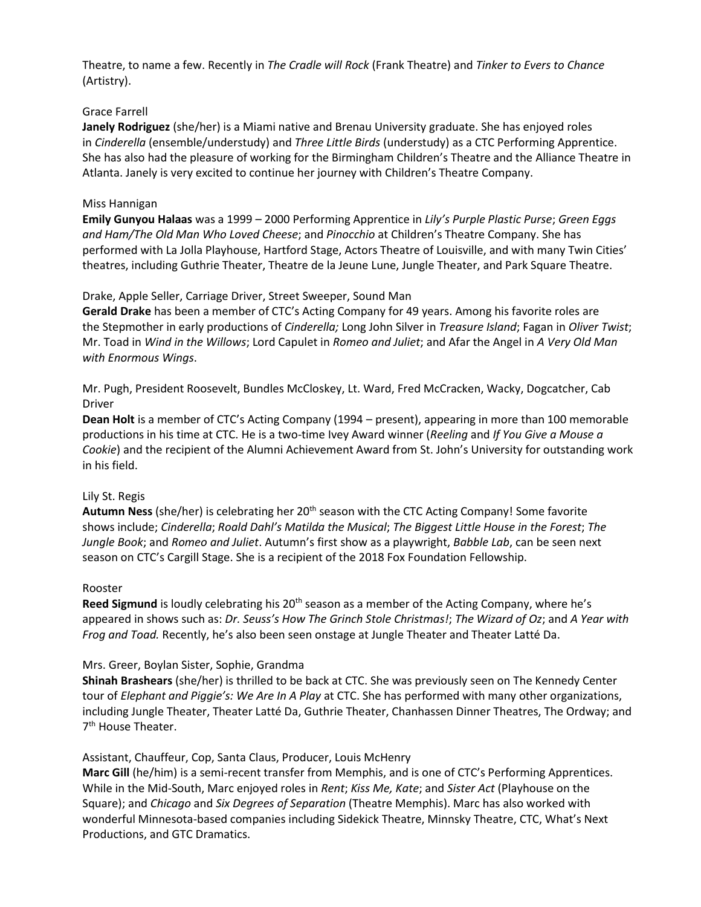**Media Contact:**  Theatre, to name a few. Recently in *The Cradle will Rock* (Frank Theatre) and *Tinker to Evers to Chance* (Artistry).

#### Grace Farrell

**Janely Rodriguez** (she/her) is a Miami native and Brenau University graduate. She has enjoyed roles in *Cinderella* (ensemble/understudy) and *Three Little Birds* (understudy) as a CTC Performing Apprentice. She has also had the pleasure of working for the Birmingham Children's Theatre and the Alliance Theatre in Atlanta. Janely is very excited to continue her journey with Children's Theatre Company.

#### Miss Hannigan

**Emily Gunyou Halaas** was a 1999 – 2000 Performing Apprentice in *Lily's Purple Plastic Purse*; *Green Eggs and Ham/The Old Man Who Loved Cheese*; and *Pinocchio* at Children's Theatre Company. She has performed with La Jolla Playhouse, Hartford Stage, Actors Theatre of Louisville, and with many Twin Cities' theatres, including Guthrie Theater, Theatre de la Jeune Lune, Jungle Theater, and Park Square Theatre.

#### Drake, Apple Seller, Carriage Driver, Street Sweeper, Sound Man

**Gerald Drake** has been a member of CTC's Acting Company for 49 years. Among his favorite roles are the Stepmother in early productions of *Cinderella;* Long John Silver in *Treasure Island*; Fagan in *Oliver Twist*; Mr. Toad in *Wind in the Willows*; Lord Capulet in *Romeo and Juliet*; and Afar the Angel in *A Very Old Man with Enormous Wings*.

Mr. Pugh, President Roosevelt, Bundles McCloskey, Lt. Ward, Fred McCracken, Wacky, Dogcatcher, Cab Driver

**Dean Holt** is a member of CTC's Acting Company (1994 – present), appearing in more than 100 memorable productions in his time at CTC. He is a two-time Ivey Award winner (*Reeling* and *If You Give a Mouse a Cookie*) and the recipient of the Alumni Achievement Award from St. John's University for outstanding work in his field.

#### Lily St. Regis

Autumn Ness (she/her) is celebrating her 20<sup>th</sup> season with the CTC Acting Company! Some favorite shows include; *Cinderella*; *Roald Dahl's Matilda the Musical*; *The Biggest Little House in the Forest*; *The Jungle Book*; and *Romeo and Juliet*. Autumn's first show as a playwright, *Babble Lab*, can be seen next season on CTC's Cargill Stage. She is a recipient of the 2018 Fox Foundation Fellowship.

#### Rooster

Reed Sigmund is loudly celebrating his 20<sup>th</sup> season as a member of the Acting Company, where he's appeared in shows such as: *Dr. Seuss's How The Grinch Stole Christmas!*; *The Wizard of Oz*; and *A Year with Frog and Toad.* Recently, he's also been seen onstage at Jungle Theater and Theater Latté Da.

# Mrs. Greer, Boylan Sister, Sophie, Grandma

**Shinah Brashears** (she/her) is thrilled to be back at CTC. She was previously seen on The Kennedy Center tour of *Elephant and Piggie's: We Are In A Play* at CTC. She has performed with many other organizations, including Jungle Theater, Theater Latté Da, Guthrie Theater, Chanhassen Dinner Theatres, The Ordway; and 7<sup>th</sup> House Theater.

#### Assistant, Chauffeur, Cop, Santa Claus, Producer, Louis McHenry

**Marc Gill** (he/him) is a semi-recent transfer from Memphis, and is one of CTC's Performing Apprentices. While in the Mid-South, Marc enjoyed roles in *Rent*; *Kiss Me, Kate*; and *Sister Act* (Playhouse on the Square); and *Chicago* and *Six Degrees of Separation* (Theatre Memphis). Marc has also worked with wonderful Minnesota-based companies including Sidekick Theatre, Minnsky Theatre, CTC, What's Next Productions, and GTC Dramatics.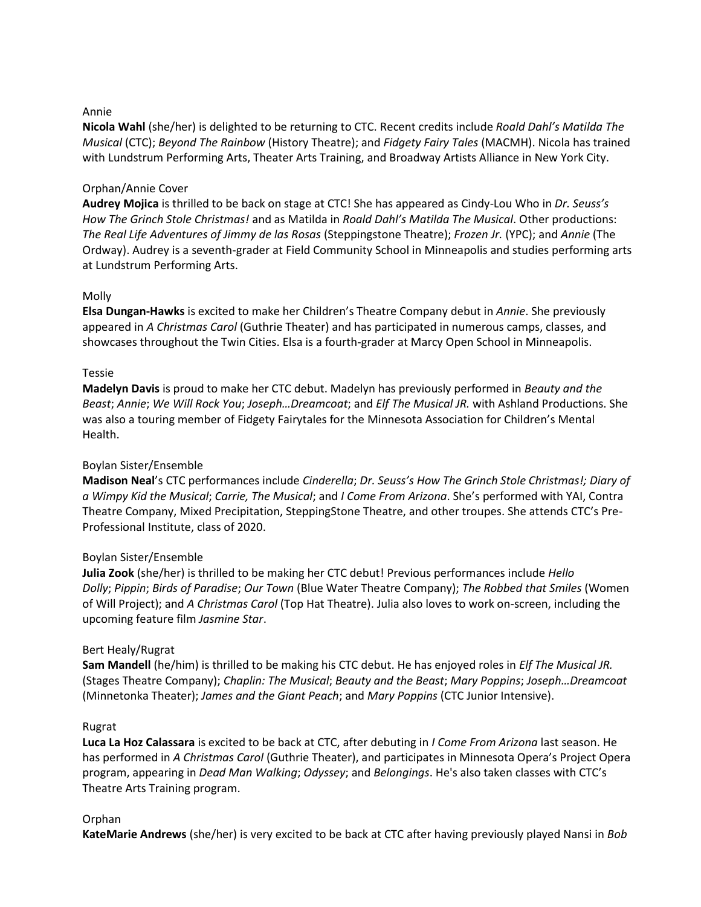# Annie

Nicola Wahl (she/her) is delighted to be returning to CTC. Recent credits include *Roald Dahl's Matilda The Musical* (CTC); *Beyond The Rainbow* (History Theatre); and *Fidgety Fairy Tales* (MACMH). Nicola has trained with Lundstrum Performing Arts, Theater Arts Training, and Broadway Artists Alliance in New York City.

# Orphan/Annie Cover

**Audrey Mojica** is thrilled to be back on stage at CTC! She has appeared as Cindy-Lou Who in *Dr. Seuss's How The Grinch Stole Christmas!* and as Matilda in *Roald Dahl's Matilda The Musical*. Other productions: *The Real Life Adventures of Jimmy de las Rosas* (Steppingstone Theatre); *Frozen Jr.* (YPC); and *Annie* (The Ordway). Audrey is a seventh-grader at Field Community School in Minneapolis and studies performing arts at Lundstrum Performing Arts.

# Molly

**Elsa Dungan-Hawks** is excited to make her Children's Theatre Company debut in *Annie*. She previously appeared in *A Christmas Carol* (Guthrie Theater) and has participated in numerous camps, classes, and showcases throughout the Twin Cities. Elsa is a fourth-grader at Marcy Open School in Minneapolis.

# Tessie

**Madelyn Davis** is proud to make her CTC debut. Madelyn has previously performed in *Beauty and the Beast*; *Annie*; *We Will Rock You*; *Joseph…Dreamcoat*; and *Elf The Musical JR.* with Ashland Productions. She was also a touring member of Fidgety Fairytales for the Minnesota Association for Children's Mental Health.

# Boylan Sister/Ensemble

**Madison Neal**'s CTC performances include *Cinderella*; *Dr. Seuss's How The Grinch Stole Christmas!; Diary of a Wimpy Kid the Musical*; *Carrie, The Musical*; and *I Come From Arizona*. She's performed with YAI, Contra Theatre Company, Mixed Precipitation, SteppingStone Theatre, and other troupes. She attends CTC's Pre-Professional Institute, class of 2020.

# Boylan Sister/Ensemble

**Julia Zook** (she/her) is thrilled to be making her CTC debut! Previous performances include *Hello Dolly*; *Pippin*; *Birds of Paradise*; *Our Town* (Blue Water Theatre Company); *The Robbed that Smiles* (Women of Will Project); and *A Christmas Carol* (Top Hat Theatre). Julia also loves to work on-screen, including the upcoming feature film *Jasmine Star*.

# Bert Healy/Rugrat

**Sam Mandell** (he/him) is thrilled to be making his CTC debut. He has enjoyed roles in *Elf The Musical JR.* (Stages Theatre Company); *Chaplin: The Musical*; *Beauty and the Beast*; *Mary Poppins*; *Joseph…Dreamcoat* (Minnetonka Theater); *James and the Giant Peach*; and *Mary Poppins* (CTC Junior Intensive).

# Rugrat

**Luca La Hoz Calassara** is excited to be back at CTC, after debuting in *I Come From Arizona* last season. He has performed in *A Christmas Carol* (Guthrie Theater), and participates in Minnesota Opera's Project Opera program, appearing in *Dead Man Walking*; *Odyssey*; and *Belongings*. He's also taken classes with CTC's Theatre Arts Training program.

# Orphan

**KateMarie Andrews** (she/her) is very excited to be back at CTC after having previously played Nansi in *Bob*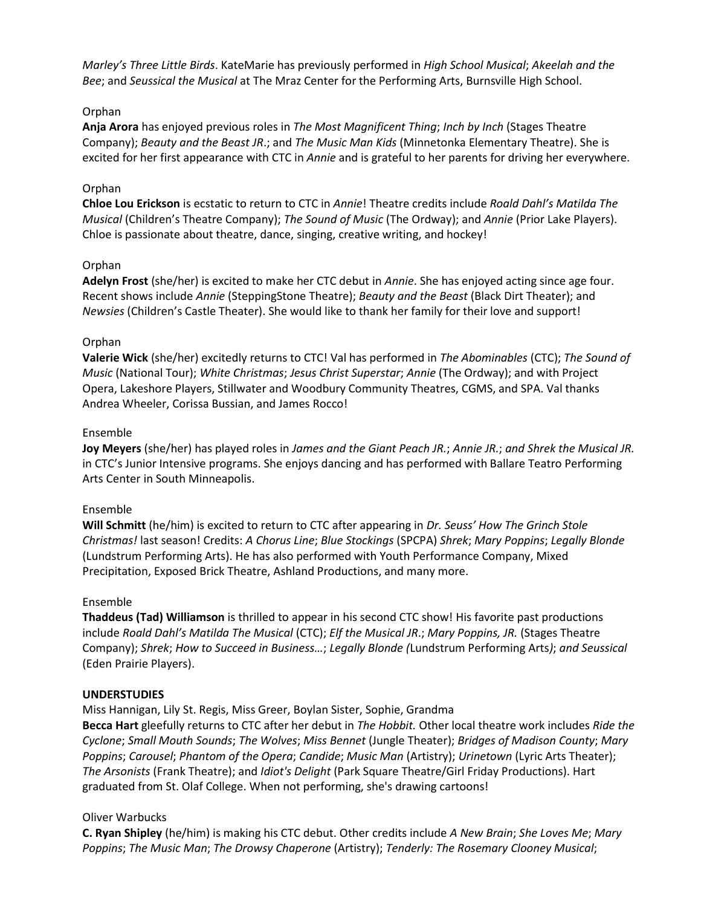*Marley's Three Little Birds*. KateMarie has previously performed in *High School Musical*; *Akeelah and the* Bee; and Seussical the Musical at The Mraz Center for the Performing Arts, Burnsville High School.

# Orphan

Anja Arora has enjoyed previous roles in *The Most Magnificent Thing*; *Inch by Inch* (Stages Theatre Company); *Beauty and the Beast JR*.; and *The Music Man Kids* (Minnetonka Elementary Theatre). She is excited for her first appearance with CTC in *Annie* and is grateful to her parents for driving her everywhere.

#### Orphan

**Chloe Lou Erickson** is ecstatic to return to CTC in *Annie*! Theatre credits include *Roald Dahl's Matilda The Musical* (Children's Theatre Company); *The Sound of Music* (The Ordway); and *Annie* (Prior Lake Players). Chloe is passionate about theatre, dance, singing, creative writing, and hockey!

#### Orphan

**Adelyn Frost** (she/her) is excited to make her CTC debut in *Annie*. She has enjoyed acting since age four. Recent shows include *Annie* (SteppingStone Theatre); *Beauty and the Beast* (Black Dirt Theater); and *Newsies* (Children's Castle Theater). She would like to thank her family for their love and support!

#### Orphan

**Valerie Wick** (she/her) excitedly returns to CTC! Val has performed in *The Abominables* (CTC); *The Sound of Music* (National Tour); *White Christmas*; *Jesus Christ Superstar*; *Annie* (The Ordway); and with Project Opera, Lakeshore Players, Stillwater and Woodbury Community Theatres, CGMS, and SPA. Val thanks Andrea Wheeler, Corissa Bussian, and James Rocco!

#### Ensemble

**Joy Meyers** (she/her) has played roles in *James and the Giant Peach JR.*; *Annie JR.*; *and Shrek the Musical JR.*  in CTC's Junior Intensive programs. She enjoys dancing and has performed with Ballare Teatro Performing Arts Center in South Minneapolis.

# Ensemble

**Will Schmitt** (he/him) is excited to return to CTC after appearing in *Dr. Seuss' How The Grinch Stole Christmas!* last season! Credits: *A Chorus Line*; *Blue Stockings* (SPCPA) *Shrek*; *Mary Poppins*; *Legally Blonde*  (Lundstrum Performing Arts). He has also performed with Youth Performance Company, Mixed Precipitation, Exposed Brick Theatre, Ashland Productions, and many more.

#### Ensemble

**Thaddeus (Tad) Williamson** is thrilled to appear in his second CTC show! His favorite past productions include *Roald Dahl's Matilda The Musical* (CTC); *Elf the Musical JR*.; *Mary Poppins, JR.* (Stages Theatre Company); *Shrek*; *How to Succeed in Business…*; *Legally Blonde (*Lundstrum Performing Arts*)*; *and Seussical* (Eden Prairie Players).

#### **UNDERSTUDIES**

Miss Hannigan, Lily St. Regis, Miss Greer, Boylan Sister, Sophie, Grandma

**Becca Hart** gleefully returns to CTC after her debut in *The Hobbit.* Other local theatre work includes *Ride the Cyclone*; *Small Mouth Sounds*; *The Wolves*; *Miss Bennet* (Jungle Theater); *Bridges of Madison County*; *Mary Poppins*; *Carousel*; *Phantom of the Opera*; *Candide*; *Music Man* (Artistry); *Urinetown* (Lyric Arts Theater); *The Arsonists* (Frank Theatre); and *Idiot's Delight* (Park Square Theatre/Girl Friday Productions). Hart graduated from St. Olaf College. When not performing, she's drawing cartoons!

# Oliver Warbucks

**C. Ryan Shipley** (he/him) is making his CTC debut. Other credits include *A New Brain*; *She Loves Me*; *Mary Poppins*; *The Music Man*; *The Drowsy Chaperone* (Artistry); *Tenderly: The Rosemary Clooney Musical*;